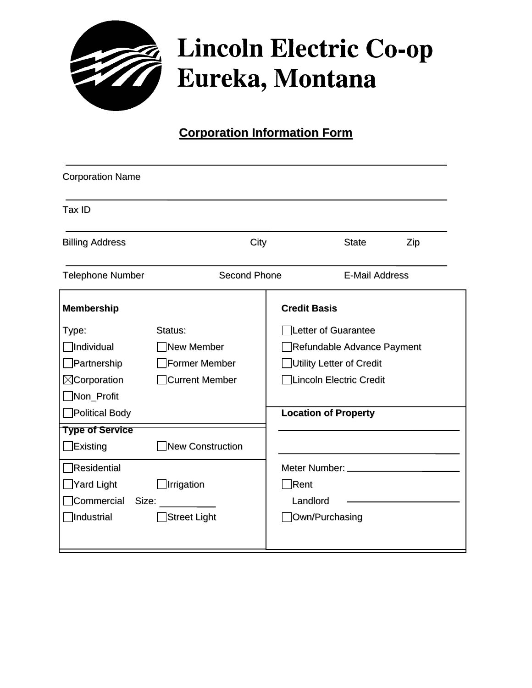

## **Lincoln Electric Co-op** Eureka, Montana

## **Corporation Information Form**

| <b>Corporation Name</b> |                     |                             |                          |     |
|-------------------------|---------------------|-----------------------------|--------------------------|-----|
| Tax ID                  |                     |                             |                          |     |
| <b>Billing Address</b>  | City                |                             | <b>State</b>             | Zip |
| <b>Telephone Number</b> | <b>Second Phone</b> |                             | <b>E-Mail Address</b>    |     |
| <b>Membership</b>       |                     | <b>Credit Basis</b>         |                          |     |
| Type:                   | Status:             |                             | Letter of Guarantee      |     |
| <b>Individual</b>       | New Member          | Refundable Advance Payment  |                          |     |
| $\Box$ Partnership      | Former Member       |                             | Utility Letter of Credit |     |
| $\boxtimes$ Corporation | Current Member      |                             | Lincoln Electric Credit  |     |
| Non_Profit              |                     |                             |                          |     |
| Political Body          |                     | <b>Location of Property</b> |                          |     |
| <b>Type of Service</b>  |                     |                             |                          |     |
| $E$ xisting             | New Construction    |                             |                          |     |
| $\Box$ Residential      |                     |                             |                          |     |
| ■Yard Light             | Irrigation          | $\neg$ Rent                 |                          |     |
| Commercial<br>Size:     |                     | Landlord                    |                          |     |
| ndustrial               | Street Light        | Own/Purchasing              |                          |     |
|                         |                     |                             |                          |     |